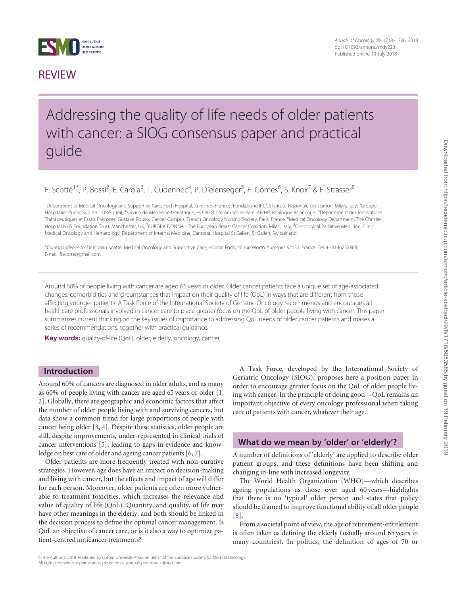<span id="page-0-0"></span>

# **REVIEW**

Annals of Oncology 29: 1718–1726, 2018 doi:10.1093/annonc/mdy228 Published online 13 July 2018

# Addressing the quality of life needs of older patients with cancer: a SIOG consensus paper and practical guide

F. Scotté<sup>1\*</sup>, P. Bossi<sup>2</sup>, E. Carola<sup>3</sup>, T. Cudennec<sup>4</sup>, P. Dielenseger<sup>5</sup>, F. Gomes<sup>6</sup>, S. Knox<sup>7</sup> & F. Strasser<sup>8</sup>

<sup>1</sup> Department of Medical Oncology and Supportive Care, Foch Hospital, Suresnes, France; <sup>2</sup>Fondazione IRCCS Istituto Nazionale dei Tumori, Milan, Italy; <sup>3</sup>Groupe Hospitalier Public Sud de L'Oise, Creil; <sup>4</sup>Service de Médecine Gériatrique, HU-PIFO site Ambroise Paré, AP-HP, Boulogne Billancourt; <sup>5</sup>Département des Innovations Thérapeutiques et Essais Précoces, Gustave Roussy Cancer Campus, French Oncology Nursing Society, Paris, France; <sup>6</sup>Medical Oncology Department, The Christie Hospital NHS Foundation Trust, Manchester, UK; <sup>7</sup>EUROPA DONNA - The European Breast Cancer Coalition, Milan, Italy; <sup>8</sup>Oncological Palliative Medicine, Clinic Medical Oncology and Hematology, Department of Internal Medicine, Cantonal Hospital St Gallen, St Gallen, Switzerland

\*Correspondence to: Dr Florian Scotte´ , Medical Oncology and Supportive Care, Hopital Foch, 40 rue Worth, Suresnes 92151, France. Tel: +33146252868; E-mail: flscotte@gmail.com

Around 60% of people living with cancer are aged 65 years or older. Older cancer patients face a unique set of age-associated changes, comorbidities and circumstances that impact on their quality of life (QoL) in ways that are different from those affecting younger patients. A Task Force of the International Society of Geriatric Oncology recommends and encourages all healthcare professionals involved in cancer care to place greater focus on the QoL of older people living with cancer. This paper summarizes current thinking on the key issues of importance to addressing QoL needs of older cancer patients and makes a series of recommendations, together with practical guidance.

Key words: quality-of-life (QoL), older, elderly, oncology, cancer

#### Introduction

Around 60% of cancers are diagnosed in older adults, and as many as 60% of people living with cancer are aged 65 years or older [[1](#page-6-0), [2\]](#page-6-0). Globally, there are geographic and economic factors that affect the number of older people living with and surviving cancers, but data show a common trend for large proportions of people with cancer being older [\[3,](#page-6-0) [4\]](#page-6-0). Despite these statistics, older people are still, despite improvements, under-represented in clinical trials of cancer interventions [[5](#page-6-0)], leading to gaps in evidence and knowledge on best care of older and ageing cancer patients [\[6](#page-6-0), [7\]](#page-6-0).

Older patients are more frequently treated with non-curative strategies. However, age does have an impact on decision-making and living with cancer, but the effects and impact of age will differ for each person. Moreover, older patients are often more vulnerable to treatment toxicities, which increases the relevance and value of quality of life (QoL). Quantity, and quality, of life may have other meanings in the elderly, and both should be linked in the decision process to define the optimal cancer management. Is QoL an objective of cancer care, or is it also a way to optimize patient-centred anticancer treatments?

A Task Force, developed by the International Society of Geriatric Oncology (SIOG), proposes here a position paper in order to encourage greater focus on the QoL of older people living with cancer. In the principle of doing good—QoL remains an important objective of every oncology professional when taking care of patients with cancer, whatever their age.

#### What do we mean by 'older' or 'elderly'?

A number of definitions of 'elderly' are applied to describe older patient groups, and these definitions have been shifting and changing in-line with increased longevity.

The World Health Organization (WHO)—which describes ageing populations as those over aged 60 years—highlights that there is no 'typical' older person and states that policy should be framed to improve functional ability of all older people [[8](#page-6-0)].

From a societal point of view, the age of retirement-entitlement is often taken as defining the elderly (usually around 65 years in many countries). In politics, the definition of ages of 70 or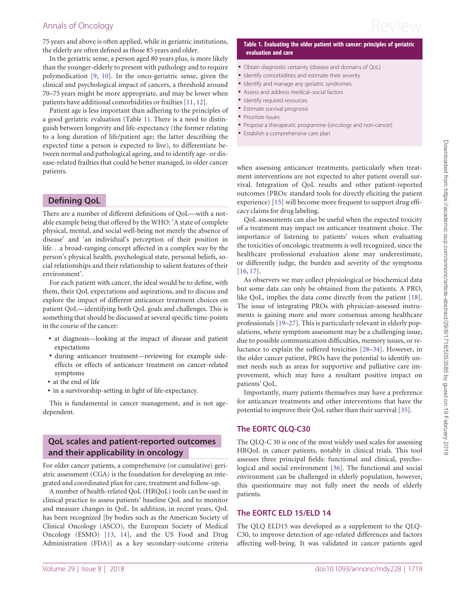<span id="page-1-0"></span>Annals of Oncology  $\mathsf{Review}$ 

75 years and above is often applied, while in geriatric institutions, the elderly are often defined as those 85 years and older.

In the geriatric sense, a person aged 80 years plus, is more likely than the younger-elderly to present with pathology and to require polymedication [\[9,](#page-6-0) [10](#page-6-0)]. In the onco-geriatric sense, given the clinical and psychological impact of cancers, a threshold around 70–75 years might be more appropriate, and may be lower when patients have additional comorbidities or frailties [[11,](#page-7-0) [12](#page-7-0)].

Patient age is less important than adhering to the principles of a good geriatric evaluation (Table 1). There is a need to distinguish between longevity and life-expectancy (the former relating to a long duration of life/patient age; the latter describing the expected time a person is expected to live), to differentiate between normal and pathological ageing, and to identify age- or disease-related frailties that could be better managed, in older cancer patients.

## Defining QoL

There are a number of different definitions of QoL—with a notable example being that offered by the WHO: 'A state of complete physical, mental, and social well-being not merely the absence of disease' and 'an individual's perception of their position in life...a broad-ranging concept affected in a complex way by the person's physical health, psychological state, personal beliefs, social relationships and their relationship to salient features of their environment'.

For each patient with cancer, the ideal would be to define, with them, their QoL expectations and aspirations, and to discuss and explore the impact of different anticancer treatment choices on patient QoL—identifying both QoL goals and challenges. This is something that should be discussed at several specific time-points in the course of the cancer:

- at diagnosis—looking at the impact of disease and patient expectations
- during anticancer treatment—reviewing for example sideeffects or effects of anticancer treatment on cancer-related symptoms
- at the end of life
- in a survivorship-setting in light of life-expectancy.

This is fundamental in cancer management, and is not agedependent.

## QoL scales and patient-reported outcomes and their applicability in oncology

For older cancer patients, a comprehensive (or cumulative) geriatric assessment (CGA) is the foundation for developing an integrated and coordinated plan for care, treatment and follow-up.

A number of health-related QoL (HRQoL) tools can be used in clinical practice to assess patients' baseline QoL and to monitor and measure changes in QoL. In addition, in recent years, QoL has been recognized [by bodies such as the American Society of Clinical Oncology (ASCO), the European Society of Medical Oncology (ESMO) [\[13](#page-7-0), [14\]](#page-7-0), and the US Food and Drug Administration (FDA)] as a key secondary-outcome criteria

#### Table 1. Evaluating the older patient with cancer: principles of geriatric evaluation and care

- Obtain diagnostic certainty (disease and domains of QoL)
- Identify comorbidities and estimate their severity
- Identify and manage any geriatric syndromes
- Assess and address medical–social factors
- Identify required resources
- Estimate survival prognosis
- Prioritize issues
- Propose a therapeutic programme (oncology and non-cancer)
- Establish a comprehensive care plan

when assessing anticancer treatments, particularly when treatment interventions are not expected to alter patient overall survival. Integration of QoL results and other patient-reported outcomes (PROs: standard tools for directly eliciting the patient experience) [[15\]](#page-7-0) will become more frequent to support drug efficacy claims for drug labeling.

QoL assessments can also be useful when the expected toxicity of a treatment may impact on anticancer treatment choice. The importance of listening to patients' voices when evaluating the toxicities of oncologic treatments is well recognized, since the healthcare professional evaluation alone may underestimate, or differently judge, the burden and severity of the symptoms [[16,](#page-7-0) [17\]](#page-7-0).

As observers we may collect physiological or biochemical data but some data can only be obtained from the patients. A PRO, like QoL, implies the data come directly from the patient [\[18](#page-7-0)]. The issue of integrating PROs with physician-assessed instruments is gaining more and more consensus among healthcare professionals [\[19](#page-7-0)–[27\]](#page-7-0). This is particularly relevant in elderly populations, where symptom assessment may be a challenging issue, due to possible communication difficulties, memory issues, or reluctance to explain the suffered toxicities [[28–34\]](#page-7-0). However, in the older cancer patient, PROs have the potential to identify unmet needs such as areas for supportive and palliative care improvement, which may have a resultant positive impact on patients' QoL.

Importantly, many patients themselves may have a preference for anticancer treatments and other interventions that have the potential to improve their QoL rather than their survival [[35\]](#page-7-0).

### The EORTC QLQ-C30

The QLQ-C 30 is one of the most widely used scales for assessing HRQoL in cancer patients, notably in clinical trials. This tool assesses three principal fields: functional and clinical, psychological and social environment [[36\]](#page-7-0). The functional and social environment can be challenged in elderly population, however, this questionnaire may not fully meet the needs of elderly patients.

#### The EORTC ELD 15/ELD 14

The QLQ ELD15 was developed as a supplement to the QLQ-C30, to improve detection of age-related differences and factors affecting well-being. It was validated in cancer patients aged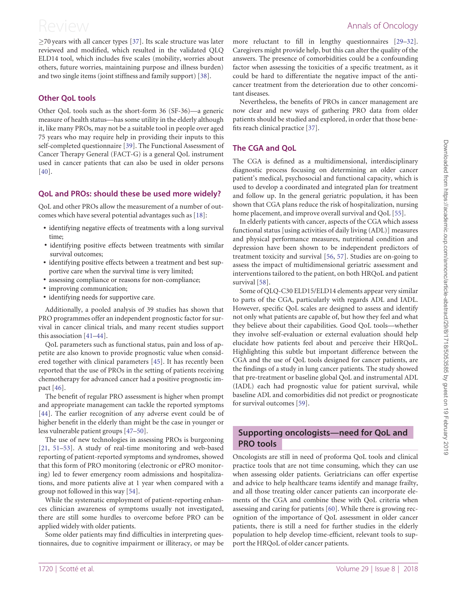<span id="page-2-0"></span> $\geq$ 70 years with all cancer types [[37\]](#page-7-0). Its scale structure was later reviewed and modified, which resulted in the validated QLQ ELD14 tool, which includes five scales (mobility, worries about others, future worries, maintaining purpose and illness burden) and two single items (joint stiffness and family support) [\[38](#page-7-0)].

#### Other QoL tools

Other QoL tools such as the short-form 36 (SF-36)—a generic measure of health status—has some utility in the elderly although it, like many PROs, may not be a suitable tool in people over aged 75 years who may require help in providing their inputs to this self-completed questionnaire [\[39](#page-7-0)]. The Functional Assessment of Cancer Therapy General (FACT-G) is a general QoL instrument used in cancer patients that can also be used in older persons [[40\]](#page-7-0).

### QoL and PROs: should these be used more widely?

QoL and other PROs allow the measurement of a number of outcomes which have several potential advantages such as [\[18\]](#page-7-0):

- identifying negative effects of treatments with a long survival time;
- identifying positive effects between treatments with similar survival outcomes;
- identifying positive effects between a treatment and best supportive care when the survival time is very limited;
- assessing compliance or reasons for non-compliance;
- improving communication;
- identifying needs for supportive care.

Additionally, a pooled analysis of 39 studies has shown that PRO programmes offer an independent prognostic factor for survival in cancer clinical trials, and many recent studies support this association [\[41–44](#page-7-0)].

QoL parameters such as functional status, pain and loss of appetite are also known to provide prognostic value when considered together with clinical parameters [[45\]](#page-7-0). It has recently been reported that the use of PROs in the setting of patients receiving chemotherapy for advanced cancer had a positive prognostic impact [[46\]](#page-7-0).

The benefit of regular PRO assessment is higher when prompt and appropriate management can tackle the reported symptoms [[44\]](#page-7-0). The earlier recognition of any adverse event could be of higher benefit in the elderly than might be the case in younger or less vulnerable patient groups [[47](#page-7-0)–[50\]](#page-7-0).

The use of new technologies in assessing PROs is burgeoning [[21,](#page-7-0) [51–53](#page-7-0)]. A study of real-time monitoring and web-based reporting of patient-reported symptoms and syndromes, showed that this form of PRO monitoring (electronic or ePRO monitoring) led to fewer emergency room admissions and hospitalizations, and more patients alive at 1 year when compared with a group not followed in this way [[54](#page-8-0)].

While the systematic employment of patient-reporting enhances clinician awareness of symptoms usually not investigated, there are still some hurdles to overcome before PRO can be applied widely with older patients.

Some older patients may find difficulties in interpreting questionnaires, due to cognitive impairment or illiteracy, or may be more reluctant to fill in lengthy questionnaires [[29–32\]](#page-7-0). Caregivers might provide help, but this can alter the quality of the answers. The presence of comorbidities could be a confounding factor when assessing the toxicities of a specific treatment, as it could be hard to differentiate the negative impact of the anticancer treatment from the deterioration due to other concomitant diseases.

Nevertheless, the benefits of PROs in cancer management are now clear and new ways of gathering PRO data from older patients should be studied and explored, in order that those benefits reach clinical practice [[37\]](#page-7-0).

### The CGA and QoL

The CGA is defined as a multidimensional, interdisciplinary diagnostic process focusing on determining an older cancer patient's medical, psychosocial and functional capacity, which is used to develop a coordinated and integrated plan for treatment and follow up. In the general geriatric population, it has been shown that CGA plans reduce the risk of hospitalization, nursing home placement, and improve overall survival and QoL [\[55\]](#page-8-0).

In elderly patients with cancer, aspects of the CGA which assess functional status [using activities of daily living (ADL)] measures and physical performance measures, nutritional condition and depression have been shown to be independent predictors of treatment toxicity and survival [[56,](#page-8-0) [57](#page-8-0)]. Studies are on-going to assess the impact of multidimensional geriatric assessment and interventions tailored to the patient, on both HRQoL and patient survival [[58\]](#page-8-0).

Some of QLQ-C30 ELD15/ELD14 elements appear very similar to parts of the CGA, particularly with regards ADL and IADL. However, specific QoL scales are designed to assess and identify not only what patients are capable of, but how they feel and what they believe about their capabilities. Good QoL tools—whether they involve self-evaluation or external evaluation should help elucidate how patients feel about and perceive their HRQoL. Highlighting this subtle but important difference between the CGA and the use of QoL tools designed for cancer patients, are the findings of a study in lung cancer patients. The study showed that pre-treatment or baseline global QoL and instrumental ADL (IADL) each had prognostic value for patient survival, while baseline ADL and comorbidities did not predict or prognosticate for survival outcomes [[59\]](#page-8-0).

### Supporting oncologists—need for QoL and PRO tools

Oncologists are still in need of proforma QoL tools and clinical practice tools that are not time consuming, which they can use when assessing older patients. Geriatricians can offer expertise and advice to help healthcare teams identify and manage frailty, and all those treating older cancer patients can incorporate elements of the CGA and combine these with QoL criteria when assessing and caring for patients [\[60](#page-8-0)]. While there is growing recognition of the importance of QoL assessment in older cancer patients, there is still a need for further studies in the elderly population to help develop time-efficient, relevant tools to support the HRQoL of older cancer patients.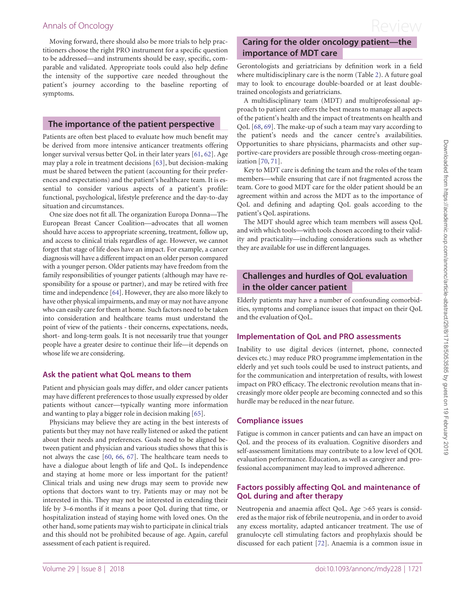<span id="page-3-0"></span>Moving forward, there should also be more trials to help practitioners choose the right PRO instrument for a specific question to be addressed—and instruments should be easy, specific, comparable and validated. Appropriate tools could also help define the intensity of the supportive care needed throughout the patient's journey according to the baseline reporting of symptoms.

#### The importance of the patient perspective

Patients are often best placed to evaluate how much benefit may be derived from more intensive anticancer treatments offering longer survival versus better QoL in their later years [\[61](#page-8-0), [62\]](#page-8-0). Age may play a role in treatment decisions [[63\]](#page-8-0), but decision-making must be shared between the patient (accounting for their preferences and expectations) and the patient's healthcare team. It is essential to consider various aspects of a patient's profile: functional, psychological, lifestyle preference and the day-to-day situation and circumstances.

One size does not fit all. The organization Europa Donna—The European Breast Cancer Coalition—advocates that all women should have access to appropriate screening, treatment, follow up, and access to clinical trials regardless of age. However, we cannot forget that stage of life does have an impact. For example, a cancer diagnosis will have a different impact on an older person compared with a younger person. Older patients may have freedom from the family responsibilities of younger patients (although may have responsibility for a spouse or partner), and may be retired with free time and independence [\[64](#page-8-0)]. However, they are also more likely to have other physical impairments, and may or may not have anyone who can easily care for them at home. Such factors need to be taken into consideration and healthcare teams must understand the point of view of the patients - their concerns, expectations, needs, short- and long-term goals. It is not necessarily true that younger people have a greater desire to continue their life—it depends on whose life we are considering.

### Ask the patient what QoL means to them

Patient and physician goals may differ, and older cancer patients may have different preferences to those usually expressed by older patients without cancer—typically wanting more information and wanting to play a bigger role in decision making [[65](#page-8-0)].

Physicians may believe they are acting in the best interests of patients but they may not have really listened or asked the patient about their needs and preferences. Goals need to be aligned between patient and physician and various studies shows that this is not always the case [\[60](#page-8-0), [66](#page-8-0), [67\]](#page-8-0). The healthcare team needs to have a dialogue about length of life and QoL. Is independence and staying at home more or less important for the patient? Clinical trials and using new drugs may seem to provide new options that doctors want to try. Patients may or may not be interested in this. They may not be interested in extending their life by 3–6 months if it means a poor QoL during that time, or hospitalization instead of staying home with loved ones. On the other hand, some patients may wish to participate in clinical trials and this should not be prohibited because of age. Again, careful assessment of each patient is required.

# Caring for the older oncology patient—the importance of MDT care

Gerontologists and geriatricians by definition work in a field where multidisciplinary care is the norm (Table [2](#page-4-0)). A future goal may to look to encourage double-boarded or at least doubletrained oncologists and geriatricians.

A multidisciplinary team (MDT) and multiprofessional approach to patient care offers the best means to manage all aspects of the patient's health and the impact of treatments on health and QoL [[68,](#page-8-0) [69](#page-8-0)]. The make-up of such a team may vary according to the patient's needs and the cancer centre's availabilities. Opportunities to share physicians, pharmacists and other supportive-care providers are possible through cross-meeting organization [[70,](#page-8-0) [71\]](#page-8-0).

Key to MDT care is defining the team and the roles of the team members—while ensuring that care if not fragmented across the team. Core to good MDT care for the older patient should be an agreement within and across the MDT as to the importance of QoL and defining and adapting QoL goals according to the patient's QoL aspirations.

The MDT should agree which team members will assess QoL and with which tools—with tools chosen according to their validity and practicality—including considerations such as whether they are available for use in different languages.

## Challenges and hurdles of QoL evaluation in the older cancer patient

Elderly patients may have a number of confounding comorbidities, symptoms and compliance issues that impact on their QoL and the evaluation of QoL.

### Implementation of QoL and PRO assessments

Inability to use digital devices (internet, phone, connected devices etc.) may reduce PRO programme implementation in the elderly and yet such tools could be used to instruct patients, and for the communication and interpretation of results, with lowest impact on PRO efficacy. The electronic revolution means that increasingly more older people are becoming connected and so this hurdle may be reduced in the near future.

### Compliance issues

Fatigue is common in cancer patients and can have an impact on QoL and the process of its evaluation. Cognitive disorders and self-assessment limitations may contribute to a low level of QOL evaluation performance. Education, as well as caregiver and professional accompaniment may lead to improved adherence.

### Factors possibly affecting QoL and maintenance of QoL during and after therapy

Neutropenia and anaemia affect QoL. Age >65 years is considered as the major risk of febrile neutropenia, and in order to avoid any excess mortality, adapted anticancer treatment. The use of granulocyte cell stimulating factors and prophylaxis should be discussed for each patient [\[72](#page-8-0)]. Anaemia is a common issue in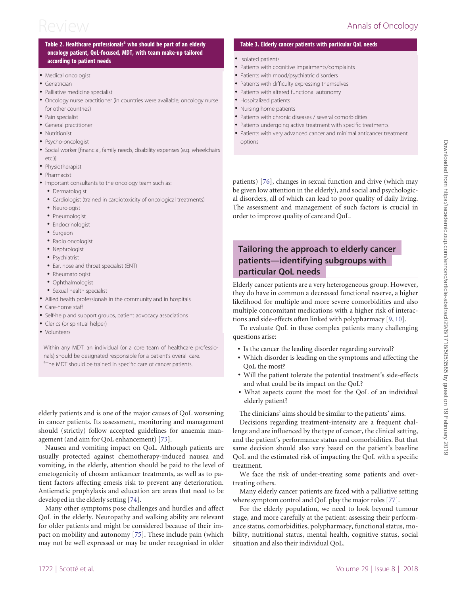#### <span id="page-4-0"></span>Table 2. Healthcare professionals<sup>a</sup> who should be part of an elderly oncology patient, QoL-focused, MDT, with team make-up tailored according to patient needs

- Medical oncologist
- Geriatrician
- Palliative medicine specialist
- Oncology nurse practitioner (in countries were available; oncology nurse for other countries)
- Pain specialist
- General practitioner
- Nutritionist
- Psycho-oncologist
- Social worker [financial, family needs, disability expenses (e.g. wheelchairs etc.)]
- **Physiotherapist**
- Pharmacist
- Important consultants to the oncology team such as:
- Dermatologist
- Cardiologist (trained in cardiotoxicity of oncological treatments)
- Neurologist
- Pneumologist
- Endocrinologist
- Surgeon
- Radio oncologist
- Nephrologist
- Psychiatrist
- Ear, nose and throat specialist (ENT)
- Rheumatologist
- Ophthalmologist
- Sexual health specialist
- Allied health professionals in the community and in hospitals
- Care-home staff
- Self-help and support groups, patient advocacy associations
- Clerics (or spiritual helper)
- Volunteers

Within any MDT, an individual (or a core team of healthcare professionals) should be designated responsible for a patient's overall care. <sup>a</sup>The MDT should be trained in specific care of cancer patients.

elderly patients and is one of the major causes of QoL worsening in cancer patients. Its assessment, monitoring and management should (strictly) follow accepted guidelines for anaemia management (and aim for QoL enhancement) [[73\]](#page-8-0).

Nausea and vomiting impact on QoL. Although patients are usually protected against chemotherapy-induced nausea and vomiting, in the elderly, attention should be paid to the level of emetogenicity of chosen anticancer treatments, as well as to patient factors affecting emesis risk to prevent any deterioration. Antiemetic prophylaxis and education are areas that need to be developed in the elderly setting [[74](#page-8-0)].

Many other symptoms pose challenges and hurdles and affect QoL in the elderly. Neuropathy and walking ability are relevant for older patients and might be considered because of their impact on mobility and autonomy [[75](#page-8-0)]. These include pain (which may not be well expressed or may be under recognised in older

#### Table 3. Elderly cancer patients with particular QoL needs

- Isolated patients
- Patients with cognitive impairments/complaints
- Patients with mood/psychiatric disorders
- Patients with difficulty expressing themselves
- Patients with altered functional autonomy
- Hospitalized patients
- Nursing home patients
- Patients with chronic diseases / several comorbidities
- Patients undergoing active treatment with specific treatments
- Patients with very advanced cancer and minimal anticancer treatment options

patients) [\[76](#page-8-0)], changes in sexual function and drive (which may be given low attention in the elderly), and social and psychological disorders, all of which can lead to poor quality of daily living. The assessment and management of such factors is crucial in order to improve quality of care and QoL.

# Tailoring the approach to elderly cancer patients—identifying subgroups with particular QoL needs

Elderly cancer patients are a very heterogeneous group. However, they do have in common a decreased functional reserve, a higher likelihood for multiple and more severe comorbidities and also multiple concomitant medications with a higher risk of interactions and side-effects often linked with polypharmacy [\[9,](#page-6-0) [10](#page-6-0)].

To evaluate QoL in these complex patients many challenging questions arise:

- Is the cancer the leading disorder regarding survival?
- Which disorder is leading on the symptoms and affecting the QoL the most?
- Will the patient tolerate the potential treatment's side-effects and what could be its impact on the QoL?
- What aspects count the most for the QoL of an individual elderly patient?

The clinicians' aims should be similar to the patients' aims.

Decisions regarding treatment-intensity are a frequent challenge and are influenced by the type of cancer, the clinical setting, and the patient's performance status and comorbidities. But that same decision should also vary based on the patient's baseline QoL and the estimated risk of impacting the QoL with a specific treatment.

We face the risk of under-treating some patients and overtreating others.

Many elderly cancer patients are faced with a palliative setting where symptom control and QoL play the major roles [\[77\]](#page-8-0).

For the elderly population, we need to look beyond tumour stage, and more carefully at the patient: assessing their performance status, comorbidities, polypharmacy, functional status, mobility, nutritional status, mental health, cognitive status, social situation and also their individual QoL.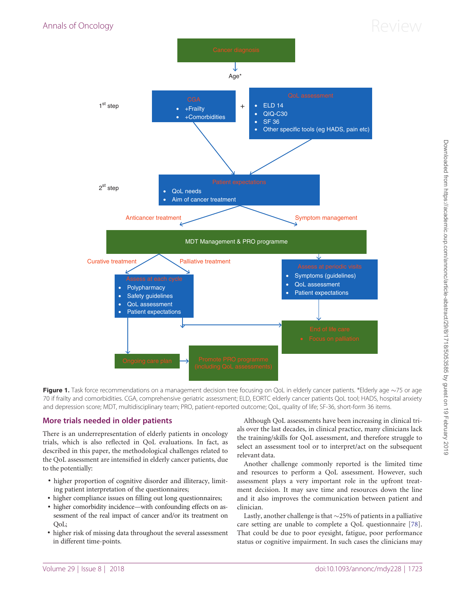# <span id="page-5-0"></span>Annals of Oncology  $\mathsf{Review}$



Figure 1. Task force recommendations on a management decision tree focusing on QoL in elderly cancer patients. \*Elderly age  $\sim$ 75 or age 70 if frailty and comorbidities. CGA, comprehensive geriatric assessment; ELD, EORTC elderly cancer patients QoL tool; HADS, hospital anxiety and depression score; MDT, multidisciplinary team; PRO, patient-reported outcome; QoL, quality of life; SF-36, short-form 36 items.

### More trials needed in older patients

There is an underrepresentation of elderly patients in oncology trials, which is also reflected in QoL evaluations. In fact, as described in this paper, the methodological challenges related to the QoL assessment are intensified in elderly cancer patients, due to the potentially:

- higher proportion of cognitive disorder and illiteracy, limiting patient interpretation of the questionnaires;
- higher compliance issues on filling out long questionnaires;
- higher comorbidity incidence—with confounding effects on assessment of the real impact of cancer and/or its treatment on QoL;
- higher risk of missing data throughout the several assessment in different time-points.

Although QoL assessments have been increasing in clinical trials over the last decades, in clinical practice, many clinicians lack the training/skills for QoL assessment, and therefore struggle to select an assessment tool or to interpret/act on the subsequent relevant data.

Another challenge commonly reported is the limited time and resources to perform a QoL assessment. However, such assessment plays a very important role in the upfront treatment decision. It may save time and resources down the line and it also improves the communication between patient and clinician.

Lastly, another challenge is that  $\sim$ 25% of patients in a palliative care setting are unable to complete a QoL questionnaire [\[78](#page-8-0)]. That could be due to poor eyesight, fatigue, poor performance status or cognitive impairment. In such cases the clinicians may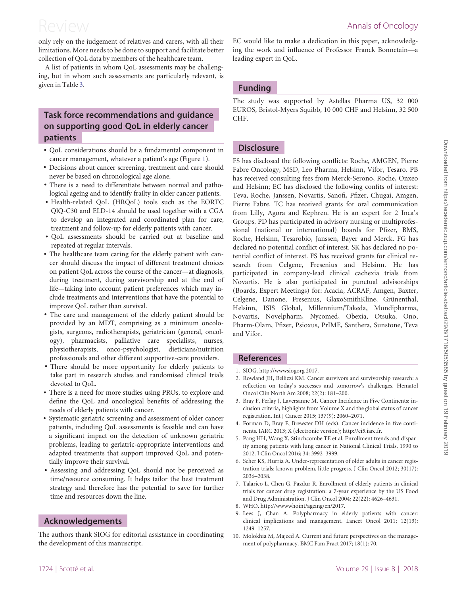<span id="page-6-0"></span>only rely on the judgement of relatives and carers, with all their limitations. More needs to be done to support and facilitate better collection of QoL data by members of the healthcare team.

A list of patients in whom QoL assessments may be challenging, but in whom such assessments are particularly relevant, is given in Table [3](#page-4-0).

## Task force recommendations and guidance on supporting good QoL in elderly cancer patients

- QoL considerations should be a fundamental component in cancer management, whatever a patient's age (Figure [1](#page-5-0)).
- Decisions about cancer screening, treatment and care should never be based on chronological age alone.
- There is a need to differentiate between normal and pathological ageing and to identify frailty in older cancer patients.
- Health-related QoL (HRQoL) tools such as the EORTC QlQ-C30 and ELD-14 should be used together with a CGA to develop an integrated and coordinated plan for care, treatment and follow-up for elderly patients with cancer.
- QoL assessments should be carried out at baseline and repeated at regular intervals.
- The healthcare team caring for the elderly patient with cancer should discuss the impact of different treatment choices on patient QoL across the course of the cancer—at diagnosis, during treatment, during survivorship and at the end of life—taking into account patient preferences which may include treatments and interventions that have the potential to improve QoL rather than survival.
- The care and management of the elderly patient should be provided by an MDT, comprising as a minimum oncologists, surgeons, radiotherapists, geriatrician (general, oncology), pharmacists, palliative care specialists, nurses, physiotherapists, onco-psychologist, dieticians/nutrition professionals and other different supportive-care providers.
- There should be more opportunity for elderly patients to take part in research studies and randomised clinical trials devoted to QoL.
- There is a need for more studies using PROs, to explore and define the QoL and oncological benefits of addressing the needs of elderly patients with cancer.
- Systematic geriatric screening and assessment of older cancer patients, including QoL assessments is feasible and can have a significant impact on the detection of unknown geriatric problems, leading to geriatric-appropriate interventions and adapted treatments that support improved QoL and potentially improve their survival.
- Assessing and addressing QoL should not be perceived as time/resource consuming. It helps tailor the best treatment strategy and therefore has the potential to save for further time and resources down the line.

#### Acknowledgements

The authors thank SIOG for editorial assistance in coordinating the development of this manuscript.

EC would like to make a dedication in this paper, acknowledging the work and influence of Professor Franck Bonnetain—a leading expert in QoL.

### Funding

The study was supported by Astellas Pharma US, 32 000 EUROS, Bristol-Myers Squibb, 10 000 CHF and Helsinn, 32 500 CHF.

#### **Disclosure**

FS has disclosed the following conflicts: Roche, AMGEN, Pierre Fabre Oncology, MSD, Leo Pharma, Helsinn, Vifor, Tesaro. PB has received consulting fees from Merck-Serono, Roche, Onxeo and Helsinn; EC has disclosed the following confits of interest: Teva, Roche, Janssen, Novartis, Sanofi, Pfizer, Chugai, Amgen, Pierre Fabre. TC has received grants for oral communication from Lilly, Agora and Kephren. He is an expert for 2 Inca's Groups. PD has participated in advisory nursing or multiprofessional (national or international) boards for Pfizer, BMS, Roche, Helsinn, Tesarobio, Janssen, Bayer and Merck. FG has declared no potential conflict of interest. SK has declared no potential conflict of interest. FS has received grants for clinical research from Celgene, Fresenius and Helsinn. He has participated in company-lead clinical cachexia trials from Novartis. He is also participated in punctual advisorships (Boards, Expert Meetings) for: Acacia, ACRAF, Amgen, Baxter, Celgene, Danone, Fresenius, GlaxoSmithKline, Grünenthal, Helsinn, ISIS Global, Millennium/Takeda, Mundipharma, Novartis, Novelpharm, Nycomed, Obexia, Otsuka, Ono, Pharm-Olam, Pfizer, Psioxus, PrIME, Santhera, Sunstone, Teva and Vifor.

### References

- [1.](#page-0-0) SIOG.<http://wwwsiogorg> 2017.
- [2.](#page-0-0) Rowland JH, Bellizzi KM. Cancer survivors and survivorship research: a reflection on today's successes and tomorrow's challenges. Hematol Oncol Clin North Am 2008; 22(2): 181–200.
- [3.](#page-0-0) Bray F, Ferlay J, Laversanne M. Cancer Incidence in Five Continents: inclusion criteria, highlights from Volume X and the global status of cancer registration. Int J Cancer 2015; 137(9): 2060–2071.
- [4.](#page-0-0) Forman D, Bray F, Brewster DH (eds). Cancer incidence in five continents. IARC 2013; X (electronic version);<http://ci5.iarc.fr>.
- [5.](#page-0-0) Pang HH, Wang X, Stinchcombe TE et al. Enrollment trends and disparity among patients with lung cancer in National Clinical Trials, 1990 to 2012. J Clin Oncol 2016; 34: 3992–3999.
- [6.](#page-0-0) Scher KS, Hurria A. Under-representation of older adults in cancer registration trials: known problem, little progress. J Clin Oncol 2012; 30(17): 2036–2038.
- [7.](#page-0-0) Talarico L, Chen G, Pazdur R. Enrollment of elderly patients in clinical trials for cancer drug registration: a 7-year experience by the US Food and Drug Administration. J Clin Oncol 2004; 22(22): 4626–4631.
- [8.](#page-0-0) WHO.<http://wwwwhoint/ageing/en/2017>.
- [9.](#page-1-0) Lees J, Chan A. Polypharmacy in elderly patients with cancer: clinical implications and management. Lancet Oncol 2011; 12(13): 1249–1257.
- [10.](#page-1-0) Molokhia M, Majeed A. Current and future perspectives on the management of polypharmacy. BMC Fam Pract 2017; 18(1): 70.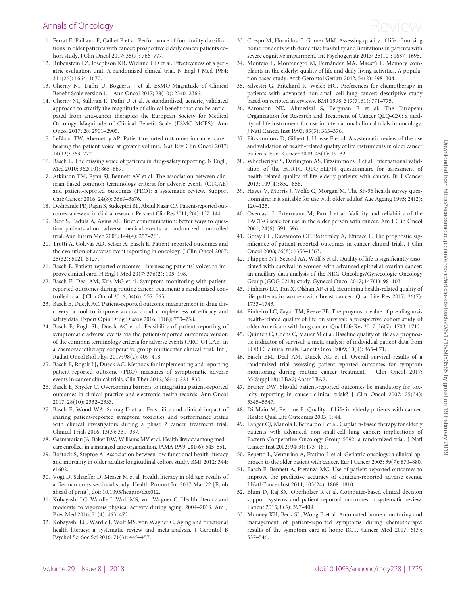- <span id="page-7-0"></span>[11](#page-1-0). Ferrat E, Paillaud E, Caillet P et al. Performance of four frailty classifications in older patients with cancer: prospective elderly cancer patients cohort study. J Clin Oncol 2017; 35(7): 766–777.
- [12](#page-1-0). Rubenstein LZ, Josephson KR, Wieland GD et al. Effectiveness of a geriatric evaluation unit. A randomized clinical trial. N Engl J Med 1984; 311(26): 1664–1670.
- [13](#page-1-0). Cherny NI, Dafni U, Bogaerts J et al. ESMO-Magnitude of Clinical Benefit Scale version 1.1. Ann Oncol 2017; 28(10): 2340–2366.
- [14](#page-1-0). Cherny NI, Sullivan R, Dafni U et al. A standardised, generic, validated approach to stratify the magnitude of clinical benefit that can be anticipated from anti-cancer therapies: the European Society for Medical Oncology Magnitude of Clinical Benefit Scale (ESMO-MCBS). Ann Oncol 2017; 28: 2901–2905.
- [15](#page-1-0). LeBlanc TW, Abernethy AP. Patient-reported outcomes in cancer care hearing the patient voice at greater volume. Nat Rev Clin Oncol 2017; 14(12): 763–772.
- [16](#page-1-0). Basch E. The missing voice of patients in drug-safety reporting. N Engl J Med 2010; 362(10): 865–869.
- [17](#page-1-0). Atkinson TM, Ryan SJ, Bennett AV et al. The association between clinician-based common terminology criteria for adverse events (CTCAE) and patient-reported outcomes (PRO): a systematic review. Support Care Cancer 2016; 24(8): 3669–3676.
- [18](#page-1-0). Deshpande PR, Rajan S, Sudeepthi BL, Abdul Nazir CP. Patient-reported outcomes: a new era in clinical research. Perspect Clin Res 2011; 2(4): 137–144.
- 19. Bent S, Padula A, Avins AL. Brief communication: better ways to question patients about adverse medical events: a randomized, controlled trial. Ann Intern Med 2006; 144(4): 257–261.
- 20. Trotti A, Colevas AD, Setser A, Basch E. Patient-reported outcomes and the evolution of adverse event reporting in oncology. J Clin Oncol 2007; 25(32): 5121–5127.
- [21](#page-2-0). Basch E. Patient-reported outcomes harnessing patients' voices to improve clinical care. N Engl J Med 2017; 376(2): 105–108.
- 22. Basch E, Deal AM, Kris MG et al. Symptom monitoring with patientreported outcomes during routine cancer treatment: a randomized controlled trial. J Clin Oncol 2016; 34(6): 557–565.
- 23. Basch E, Dueck AC. Patient-reported outcome measurement in drug discovery: a tool to improve accuracy and completeness of efficacy and safety data. Expert Opin Drug Discov 2016; 11(8): 753–758.
- 24. Basch E, Pugh SL, Dueck AC et al. Feasibility of patient reporting of symptomatic adverse events via the patient-reported outcomes version of the common terminology criteria for adverse events (PRO-CTCAE) in a chemoradiotherapy cooperative group multicenter clinical trial. Int J Radiat Oncol Biol Phys 2017; 98(2): 409–418.
- 25. Basch E, Rogak LJ, Dueck AC. Methods for implementing and reporting patient-reported outcome (PRO) measures of symptomatic adverse events in cancer clinical trials. Clin Ther 2016; 38(4): 821–830.
- 26. Basch E, Snyder C. Overcoming barriers to integrating patient-reported outcomes in clinical practice and electronic health records. Ann Oncol 2017; 28(10): 2332–2333.
- 27. Basch E, Wood WA, Schrag D et al. Feasibility and clinical impact of sharing patient-reported symptom toxicities and performance status with clinical investigators during a phase 2 cancer treatment trial. Clinical Trials 2016; 13(3): 331–337.
- 28. Gazmararian JA, Baker DW, Williams MV et al. Health literacy among medicare enrollees in a managed care organization. JAMA 1999; 281(6): 545–551.
- 29. Bostock S, Steptoe A. Association between low functional health literacy and mortality in older adults: longitudinal cohort study. BMJ 2012; 344: e1602.
- 30. Vogt D, Schaeffer D, Messer M et al. Health literacy in old age: results of a German cross-sectional study. Health Promot Int 2017 Mar 22 [Epub ahead of print], doi: 10.1093/heapro/dax012.
- 31. Kobayashi LC, Wardle J, Wolf MS, von Wagner C. Health literacy and moderate to vigorous physical activity during aging, 2004–2013. Am J Prev Med 2016; 51(4): 463–472.
- 32. Kobayashi LC, Wardle J, Wolf MS, von Wagner C. Aging and functional health literacy: a systematic review and meta-analysis. J Gerontol B Psychol Sci Soc Sci 2016; 71(3): 445–457.
- 33. Crespo M, Hornillos C, Gomez MM. Assessing quality of life of nursing home residents with dementia: feasibility and limitations in patients with severe cognitive impairment. Int Psychogeriatr 2013; 25(10): 1687–1695.
- 34. Montejo P, Montenegro M, Fernández MA, Maestú F. Memory complaints in the elderly: quality of life and daily living activities. A population based study. Arch Gerontol Geriatr 2012; 54(2): 298–304.
- [35.](#page-1-0) Silvestri G, Pritchard R, Welch HG. Preferences for chemotherapy in patients with advanced non-small cell lung cancer: descriptive study based on scripted interviews. BMJ 1998; 317(7161): 771–775.
- [36.](#page-1-0) Aaronson NK, Ahmedzai S, Bergman B et al. The European Organization for Research and Treatment of Cancer QLQ-C30: a quality-of-life instrument for use in international clinical trials in oncology. J Natl Cancer Inst 1993; 85(5): 365–376.
- [37.](#page-2-0) Fitzsimmons D, Gilbert J, Howse F et al. A systematic review of the use and validation of health-related quality of life instruments in older cancer patients. Eur J Cancer 2009; 45(1): 19–32.
- [38.](#page-2-0) Wheelwright S, Darlington AS, Fitzsimmons D et al. International validation of the EORTC QLQ-ELD14 questionnaire for assessment of health-related quality of life elderly patients with cancer. Br J Cancer 2013; 109(4): 852–858.
- [39.](#page-2-0) Hayes V, Morris J, Wolfe C, Morgan M. The SF-36 health survey questionnaire: is it suitable for use with older adults? Age Ageing 1995; 24(2): 120–125.
- [40.](#page-2-0) Overcash J, Extermann M, Parr J et al. Validity and reliability of the FACT-G scale for use in the older person with cancer. Am J Clin Oncol 2001; 24(6): 591–596.
- 41. Gotay CC, Kawamoto CT, Bottomley A, Efficace F. The prognostic significance of patient-reported outcomes in cancer clinical trials. J Clin Oncol 2008; 26(8): 1355–1363.
- 42. Phippen NT, Secord AA, Wolf S et al. Quality of life is significantly associated with survival in women with advanced epithelial ovarian cancer: an ancillary data analysis of the NRG Oncology/Gynecologic Oncology Group (GOG-0218) study. Gynecol Oncol 2017; 147(1): 98–103.
- 43. Pinheiro LC, Tan X, Olshan AF et al. Examining health-related quality of life patterns in women with breast cancer. Qual Life Res 2017; 26(7): 1733–1743.
- [44.](#page-2-0) Pinheiro LC, Zagar TM, Reeve BB. The prognostic value of pre-diagnosis health-related quality of life on survival: a prospective cohort study of older Americans with lung cancer. Qual Life Res 2017; 26(7): 1703–1712.
- [45.](#page-2-0) Quinten C, Coens C, Mauer M et al. Baseline quality of life as a prognostic indicator of survival: a meta-analysis of individual patient data from EORTC clinical trials. Lancet Oncol 2009; 10(9): 865–871.
- [46.](#page-2-0) Basch EM, Deal AM, Dueck AC et al. Overall survival results of a randomized trial assessing patient-reported outcomes for symptom monitoring during routine cancer treatment. J Clin Oncol 2017; 35(Suppl 18): LBA2; Abstr LBA2.
- 47. Bruner DW. Should patient-reported outcomes be mandatory for toxicity reporting in cancer clinical trials? J Clin Oncol 2007; 25(34): 5345–5347.
- 48. Di Maio M, Perrone F. Quality of Life in elderly patients with cancer. Health Qual Life Outcomes 2003; 1: 44.
- 49. Langer CJ, Manola J, Bernardo P et al. Cisplatin-based therapy for elderly patients with advanced non-small-cell lung cancer: implications of Eastern Cooperative Oncology Group 5592, a randomized trial. J Natl Cancer Inst 2002; 94(3): 173–181.
- 50. Repetto L, Venturino A, Fratino L et al. Geriatric oncology: a clinical approach to the older patient with cancer. Eur J Cancer 2003; 39(7): 870–880.
- 51. Basch E, Bennett A, Pietanza MC. Use of patient-reported outcomes to improve the predictive accuracy of clinician-reported adverse events. J Natl Cancer Inst 2011; 103(24): 1808–1810.
- 52. Blum D, Raj SX, Oberholzer R et al. Computer-based clinical decision support systems and patient-reported outcomes: a systematic review. Patient 2015; 8(5): 397–409.
- 53. Mooney KH, Beck SL, Wong B et al. Automated home monitoring and management of patient-reported symptoms during chemotherapy: results of the symptom care at home RCT. Cancer Med 2017; 6(3): 537–546.